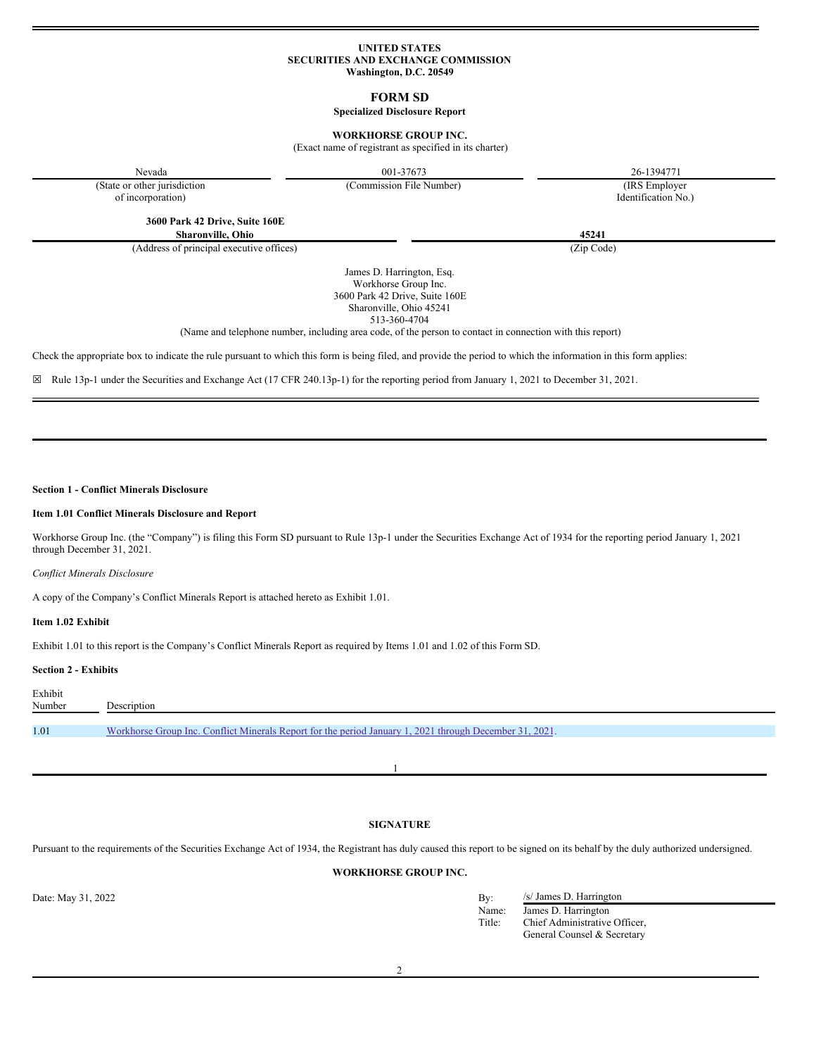### **UNITED STATES SECURITIES AND EXCHANGE COMMISSION Washington, D.C. 20549**

**FORM SD**

### **Specialized Disclosure Report**

## **WORKHORSE GROUP INC.**

(Exact name of registrant as specified in its charter)

Nevada 26-1394771 26-1394771

(State or other jurisdiction of incorporation)

(Commission File Number) (IRS Employer

Identification No.)

**3600 Park 42 Drive, Suite 160E Sharonville, Ohio 45241**

(Address of principal executive offices) (Zip Code)

James D. Harrington, Esq. Workhorse Group Inc. 3600 Park 42 Drive, Suite 160E Sharonville, Ohio 45241 513-360-4704

(Name and telephone number, including area code, of the person to contact in connection with this report)

Check the appropriate box to indicate the rule pursuant to which this form is being filed, and provide the period to which the information in this form applies:

☒ Rule 13p-1 under the Securities and Exchange Act (17 CFR 240.13p-1) for the reporting period from January 1, 2021 to December 31, 2021.

## **Section 1 - Conflict Minerals Disclosure**

## **Item 1.01 Conflict Minerals Disclosure and Report**

Workhorse Group Inc. (the "Company") is filing this Form SD pursuant to Rule 13p-1 under the Securities Exchange Act of 1934 for the reporting period January 1, 2021 through December 31, 2021.

*Conflict Minerals Disclosure*

A copy of the Company's Conflict Minerals Report is attached hereto as Exhibit 1.01.

## **Item 1.02 Exhibit**

Exhibit 1.01 to this report is the Company's Conflict Minerals Report as required by Items 1.01 and 1.02 of this Form SD.

### **Section 2 - Exhibits**

| Exhibit<br>Number | Description                                                                                             |
|-------------------|---------------------------------------------------------------------------------------------------------|
|                   |                                                                                                         |
| 1.01              | Workhorse Group Inc. Conflict Minerals Report for the period January 1, 2021 through December 31, 2021. |
|                   |                                                                                                         |

1

# **SIGNATURE**

Pursuant to the requirements of the Securities Exchange Act of 1934, the Registrant has duly caused this report to be signed on its behalf by the duly authorized undersigned.

## **WORKHORSE GROUP INC.**

Date: May 31, 2022 By: /s/ James D. Harrington Name: James D. Harrington<br>Title: Chief Administrative Chief Administrative Officer, General Counsel & Secretary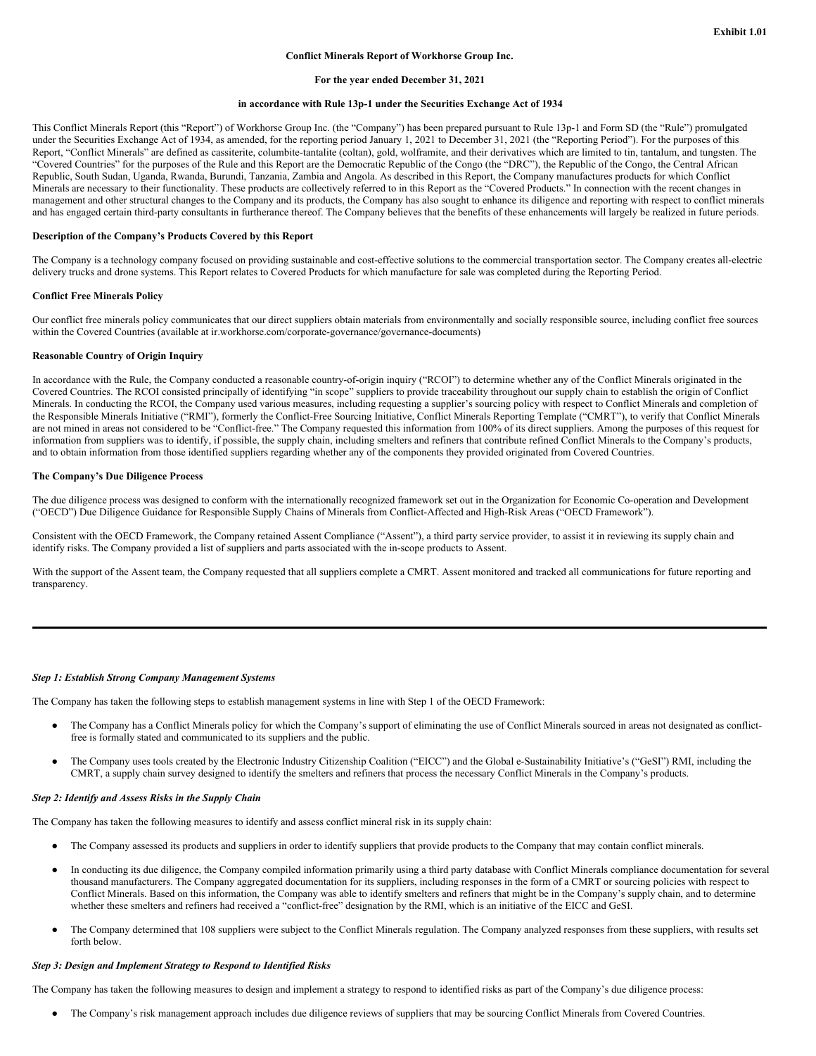### **Conflict Minerals Report of Workhorse Group Inc.**

### **For the year ended December 31, 2021**

#### **in accordance with Rule 13p-1 under the Securities Exchange Act of 1934**

This Conflict Minerals Report (this "Report") of Workhorse Group Inc. (the "Company") has been prepared pursuant to Rule 13p-1 and Form SD (the "Rule") promulgated under the Securities Exchange Act of 1934, as amended, for the reporting period January 1, 2021 to December 31, 2021 (the "Reporting Period"). For the purposes of this Report, "Conflict Minerals" are defined as cassiterite, columbite-tantalite (coltan), gold, wolframite, and their derivatives which are limited to tin, tantalum, and tungsten. The "Covered Countries" for the purposes of the Rule and this Report are the Democratic Republic of the Congo (the "DRC"), the Republic of the Congo, the Central African Republic, South Sudan, Uganda, Rwanda, Burundi, Tanzania, Zambia and Angola. As described in this Report, the Company manufactures products for which Conflict Minerals are necessary to their functionality. These products are collectively referred to in this Report as the "Covered Products." In connection with the recent changes in management and other structural changes to the Company and its products, the Company has also sought to enhance its diligence and reporting with respect to conflict minerals and has engaged certain third-party consultants in furtherance thereof. The Company believes that the benefits of these enhancements will largely be realized in future periods.

### **Description of the Company's Products Covered by this Report**

The Company is a technology company focused on providing sustainable and cost-effective solutions to the commercial transportation sector. The Company creates all-electric delivery trucks and drone systems. This Report relates to Covered Products for which manufacture for sale was completed during the Reporting Period.

#### **Conflict Free Minerals Policy**

Our conflict free minerals policy communicates that our direct suppliers obtain materials from environmentally and socially responsible source, including conflict free sources within the Covered Countries (available at ir.workhorse.com/corporate-governance/governance-documents)

#### **Reasonable Country of Origin Inquiry**

In accordance with the Rule, the Company conducted a reasonable country-of-origin inquiry ("RCOI") to determine whether any of the Conflict Minerals originated in the Covered Countries. The RCOI consisted principally of identifying "in scope" suppliers to provide traceability throughout our supply chain to establish the origin of Conflict Minerals. In conducting the RCOI, the Company used various measures, including requesting a supplier's sourcing policy with respect to Conflict Minerals and completion of the Responsible Minerals Initiative ("RMI"), formerly the Conflict-Free Sourcing Initiative, Conflict Minerals Reporting Template ("CMRT"), to verify that Conflict Minerals are not mined in areas not considered to be "Conflict-free." The Company requested this information from 100% of its direct suppliers. Among the purposes of this request for information from suppliers was to identify, if possible, the supply chain, including smelters and refiners that contribute refined Conflict Minerals to the Company's products, and to obtain information from those identified suppliers regarding whether any of the components they provided originated from Covered Countries.

#### **The Company's Due Diligence Process**

The due diligence process was designed to conform with the internationally recognized framework set out in the Organization for Economic Co-operation and Development ("OECD") Due Diligence Guidance for Responsible Supply Chains of Minerals from Conflict-Affected and High-Risk Areas ("OECD Framework").

Consistent with the OECD Framework, the Company retained Assent Compliance ("Assent"), a third party service provider, to assist it in reviewing its supply chain and identify risks. The Company provided a list of suppliers and parts associated with the in-scope products to Assent.

With the support of the Assent team, the Company requested that all suppliers complete a CMRT. Assent monitored and tracked all communications for future reporting and transparency.

## *Step 1: Establish Strong Company Management Systems*

The Company has taken the following steps to establish management systems in line with Step 1 of the OECD Framework:

- The Company has a Conflict Minerals policy for which the Company's support of eliminating the use of Conflict Minerals sourced in areas not designated as conflictfree is formally stated and communicated to its suppliers and the public.
- The Company uses tools created by the Electronic Industry Citizenship Coalition ("EICC") and the Global e-Sustainability Initiative's ("GeSI") RMI, including the CMRT, a supply chain survey designed to identify the smelters and refiners that process the necessary Conflict Minerals in the Company's products.

#### *Step 2: Identify and Assess Risks in the Supply Chain*

The Company has taken the following measures to identify and assess conflict mineral risk in its supply chain:

- The Company assessed its products and suppliers in order to identify suppliers that provide products to the Company that may contain conflict minerals.
- In conducting its due diligence, the Company compiled information primarily using a third party database with Conflict Minerals compliance documentation for several thousand manufacturers. The Company aggregated documentation for its suppliers, including responses in the form of a CMRT or sourcing policies with respect to Conflict Minerals. Based on this information, the Company was able to identify smelters and refiners that might be in the Company's supply chain, and to determine whether these smelters and refiners had received a "conflict-free" designation by the RMI, which is an initiative of the EICC and GeSI.
- The Company determined that 108 suppliers were subject to the Conflict Minerals regulation. The Company analyzed responses from these suppliers, with results set forth below.

#### *Step 3: Design and Implement Strategy to Respond to Identified Risks*

The Company has taken the following measures to design and implement a strategy to respond to identified risks as part of the Company's due diligence process:

The Company's risk management approach includes due diligence reviews of suppliers that may be sourcing Conflict Minerals from Covered Countries.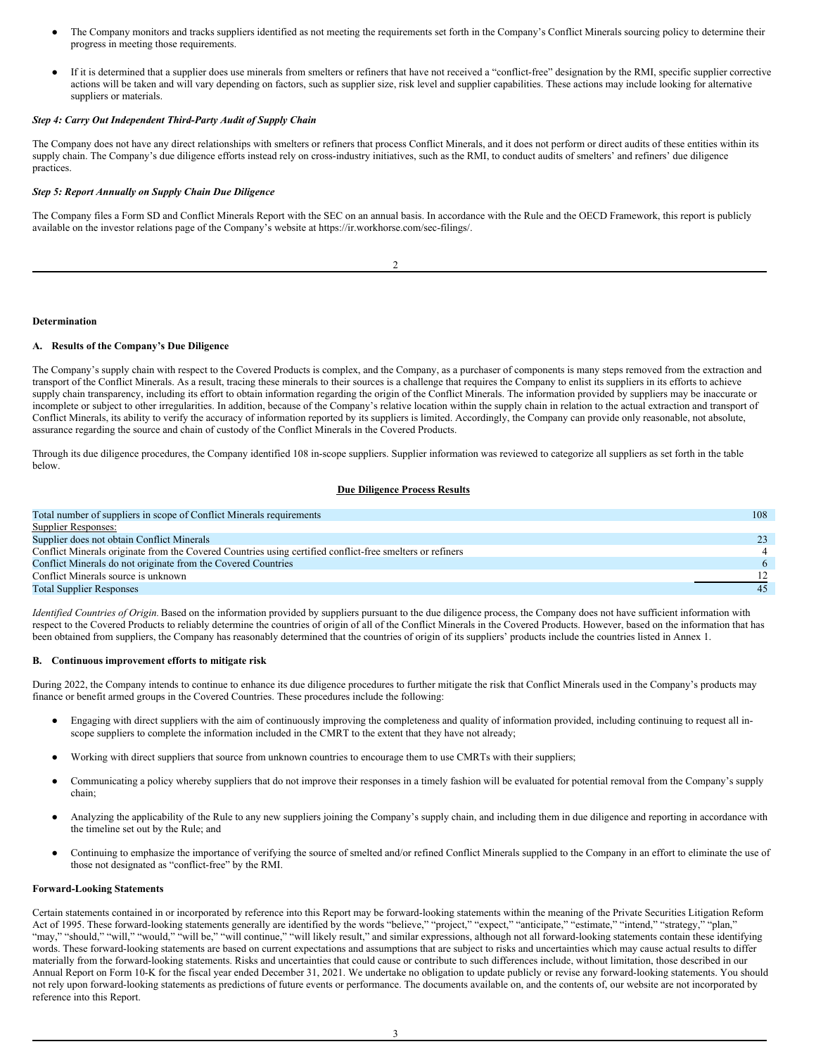- <span id="page-2-0"></span>The Company monitors and tracks suppliers identified as not meeting the requirements set forth in the Company's Conflict Minerals sourcing policy to determine their progress in meeting those requirements.
- If it is determined that a supplier does use minerals from smelters or refiners that have not received a "conflict-free" designation by the RMI, specific supplier corrective actions will be taken and will vary depending on factors, such as supplier size, risk level and supplier capabilities. These actions may include looking for alternative suppliers or materials.

## *Step 4: Carry Out Independent Third-Party Audit of Supply Chain*

The Company does not have any direct relationships with smelters or refiners that process Conflict Minerals, and it does not perform or direct audits of these entities within its supply chain. The Company's due diligence efforts instead rely on cross-industry initiatives, such as the RMI, to conduct audits of smelters' and refiners' due diligence practices.

### *Step 5: Report Annually on Supply Chain Due Diligence*

The Company files a Form SD and Conflict Minerals Report with the SEC on an annual basis. In accordance with the Rule and the OECD Framework, this report is publicly available on the investor relations page of the Company's website at https://ir.workhorse.com/sec-filings/.

 $\overline{\phantom{a}}$ 

## **Determination**

## **A. Results of the Company's Due Diligence**

The Company's supply chain with respect to the Covered Products is complex, and the Company, as a purchaser of components is many steps removed from the extraction and transport of the Conflict Minerals. As a result, tracing these minerals to their sources is a challenge that requires the Company to enlist its suppliers in its efforts to achieve supply chain transparency, including its effort to obtain information regarding the origin of the Conflict Minerals. The information provided by suppliers may be inaccurate or incomplete or subject to other irregularities. In addition, because of the Company's relative location within the supply chain in relation to the actual extraction and transport of Conflict Minerals, its ability to verify the accuracy of information reported by its suppliers is limited. Accordingly, the Company can provide only reasonable, not absolute, assurance regarding the source and chain of custody of the Conflict Minerals in the Covered Products.

Through its due diligence procedures, the Company identified 108 in-scope suppliers. Supplier information was reviewed to categorize all suppliers as set forth in the table below.

## **Due Diligence Process Results**

| Total number of suppliers in scope of Conflict Minerals requirements                                      |     |
|-----------------------------------------------------------------------------------------------------------|-----|
| Supplier Responses:                                                                                       |     |
| Supplier does not obtain Conflict Minerals                                                                | 23. |
| Conflict Minerals originate from the Covered Countries using certified conflict-free smelters or refiners |     |
| Conflict Minerals do not originate from the Covered Countries                                             | -6- |
| Conflict Minerals source is unknown                                                                       |     |
| <b>Total Supplier Responses</b>                                                                           | 45  |

*Identified Countries of Origin*. Based on the information provided by suppliers pursuant to the due diligence process, the Company does not have sufficient information with respect to the Covered Products to reliably determine the countries of origin of all of the Conflict Minerals in the Covered Products. However, based on the information that has been obtained from suppliers, the Company has reasonably determined that the countries of origin of its suppliers' products include the countries listed in Annex 1.

#### **B. Continuous improvement efforts to mitigate risk**

During 2022, the Company intends to continue to enhance its due diligence procedures to further mitigate the risk that Conflict Minerals used in the Company's products may finance or benefit armed groups in the Covered Countries. These procedures include the following:

- Engaging with direct suppliers with the aim of continuously improving the completeness and quality of information provided, including continuing to request all inscope suppliers to complete the information included in the CMRT to the extent that they have not already;
- Working with direct suppliers that source from unknown countries to encourage them to use CMRTs with their suppliers;
- Communicating a policy whereby suppliers that do not improve their responses in a timely fashion will be evaluated for potential removal from the Company's supply chain;
- Analyzing the applicability of the Rule to any new suppliers joining the Company's supply chain, and including them in due diligence and reporting in accordance with the timeline set out by the Rule; and
- Continuing to emphasize the importance of verifying the source of smelted and/or refined Conflict Minerals supplied to the Company in an effort to eliminate the use of those not designated as "conflict-free" by the RMI.

### **Forward-Looking Statements**

Certain statements contained in or incorporated by reference into this Report may be forward-looking statements within the meaning of the Private Securities Litigation Reform Act of 1995. These forward-looking statements generally are identified by the words "believe," "project," "expect," "anticipate," "estimate," "intend," "strategy," "plan," "may," "should," "will," "would," "will be," "will continue," "will likely result," and similar expressions, although not all forward-looking statements contain these identifying words. These forward-looking statements are based on current expectations and assumptions that are subject to risks and uncertainties which may cause actual results to differ materially from the forward-looking statements. Risks and uncertainties that could cause or contribute to such differences include, without limitation, those described in our Annual Report on Form 10-K for the fiscal year ended December 31, 2021. We undertake no obligation to update publicly or revise any forward-looking statements. You should not rely upon forward-looking statements as predictions of future events or performance. The documents available on, and the contents of, our website are not incorporated by reference into this Report.